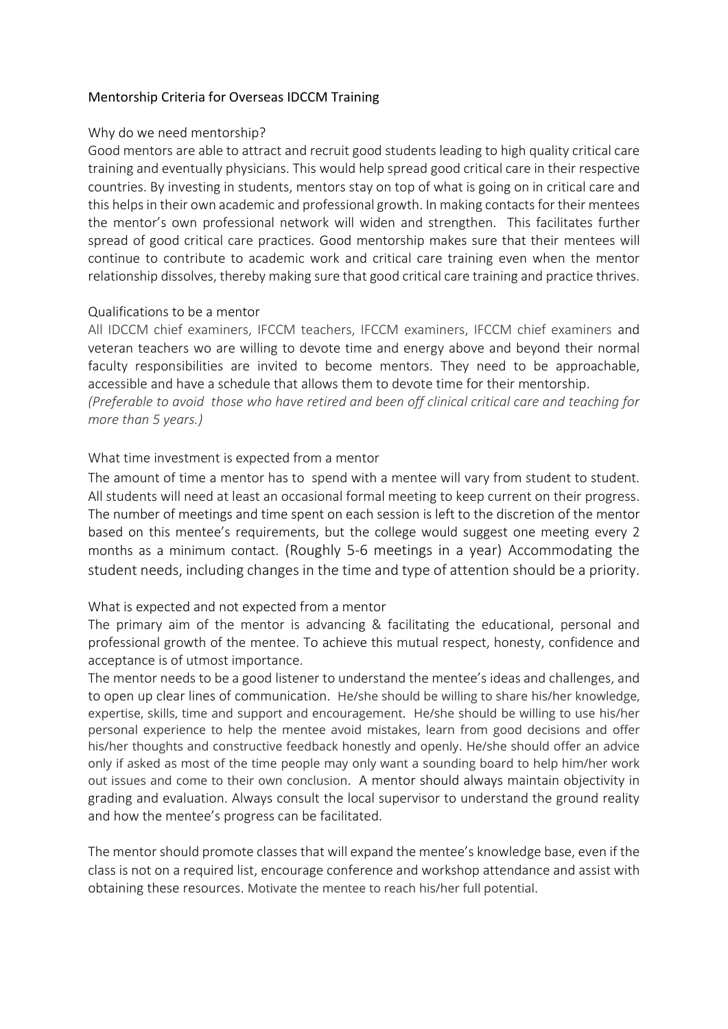# Mentorship Criteria for Overseas IDCCM Training

### Why do we need mentorship?

Good mentors are able to attract and recruit good students leading to high quality critical care training and eventually physicians. This would help spread good critical care in their respective countries. By investing in students, mentors stay on top of what is going on in critical care and this helps in their own academic and professional growth. In making contacts for their mentees the mentor's own professional network will widen and strengthen. This facilitates further spread of good critical care practices. Good mentorship makes sure that their mentees will continue to contribute to academic work and critical care training even when the mentor relationship dissolves, thereby making sure that good critical care training and practice thrives.

## Qualifications to be a mentor

All IDCCM chief examiners, IFCCM teachers, IFCCM examiners, IFCCM chief examiners and veteran teachers wo are willing to devote time and energy above and beyond their normal faculty responsibilities are invited to become mentors. They need to be approachable, accessible and have a schedule that allows them to devote time for their mentorship. *(Preferable to avoid those who have retired and been off clinical critical care and teaching for more than 5 years.)*

## What time investment is expected from a mentor

The amount of time a mentor has to spend with a mentee will vary from student to student. All students will need at least an occasional formal meeting to keep current on their progress. The number of meetings and time spent on each session is left to the discretion of the mentor based on this mentee's requirements, but the college would suggest one meeting every 2 months as a minimum contact. (Roughly 5-6 meetings in a year) Accommodating the student needs, including changes in the time and type of attention should be a priority.

## What is expected and not expected from a mentor

The primary aim of the mentor is advancing & facilitating the educational, personal and professional growth of the mentee. To achieve this mutual respect, honesty, confidence and acceptance is of utmost importance.

The mentor needs to be a good listener to understand the mentee's ideas and challenges, and to open up clear lines of communication. He/she should be willing to share his/her knowledge, expertise, skills, time and support and encouragement. He/she should be willing to use his/her personal experience to help the mentee avoid mistakes, learn from good decisions and offer his/her thoughts and constructive feedback honestly and openly. He/she should offer an advice only if asked as most of the time people may only want a sounding board to help him/her work out issues and come to their own conclusion. A mentor should always maintain objectivity in grading and evaluation. Always consult the local supervisor to understand the ground reality and how the mentee's progress can be facilitated.

The mentor should promote classes that will expand the mentee's knowledge base, even if the class is not on a required list, encourage conference and workshop attendance and assist with obtaining these resources. Motivate the mentee to reach his/her full potential.